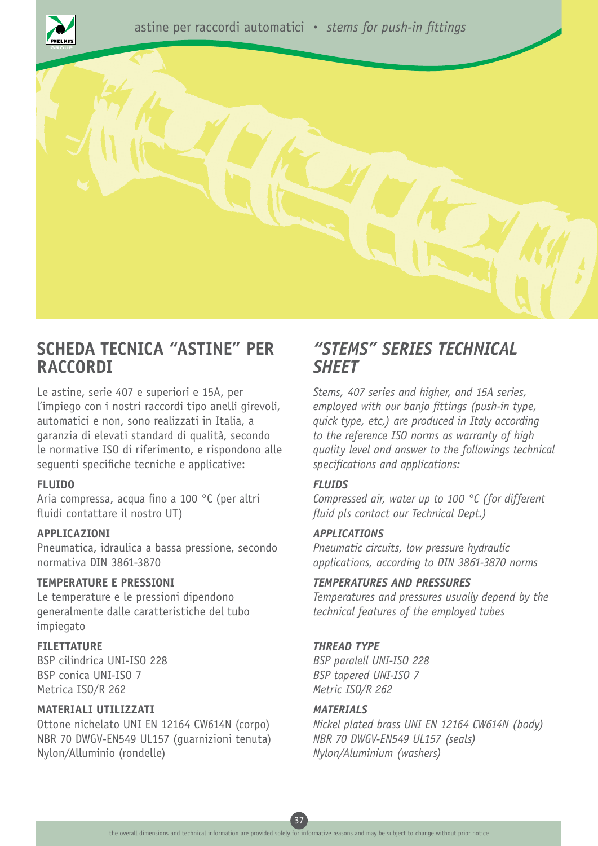



# **SCHEDA TECNICA "ASTINE" PER RACCORDI**

Le astine, serie 407 e superiori e 15A, per l'impiego con i nostri raccordi tipo anelli girevoli, automatici e non, sono realizzati in Italia, a garanzia di elevati standard di qualità, secondo le normative ISO di riferimento, e rispondono alle seguenti specifiche tecniche e applicative:

#### **FLUIDO**

Aria compressa, acqua fino a 100 °C (per altri fluidi contattare il nostro UT)

#### **APPLICAZIONI**

Pneumatica, idraulica a bassa pressione, secondo normativa DIN 3861-3870

## **TEMPERATURE E PRESSIONI**

Le temperature e le pressioni dipendono generalmente dalle caratteristiche del tubo impiegato

#### **FILETTATURE**

BSP cilindrica UNI-ISO 228 BSP conica UNI-ISO 7 Metrica ISO/R 262

#### **MATERIALI UTILIZZATI**

Ottone nichelato UNI EN 12164 CW614N (corpo) NBR 70 DWGV-EN549 UL157 (guarnizioni tenuta) Nylon/Alluminio (rondelle)

## *"STEMS" SERIES TECHNICAL SHEET*

*Stems, 407 series and higher, and 15A series, employed with our banjo fittings (push-in type, quick type, etc,) are produced in Italy according to the reference ISO norms as warranty of high quality level and answer to the followings technical specifications and applications:*

#### *FLUIDS*

*Compressed air, water up to 100 °C (for different fluid pls contact our Technical Dept.)*

#### *APPLICATIONS*

*Pneumatic circuits, low pressure hydraulic applications, according to DIN 3861-3870 norms*

#### *TEMPERATURES AND PRESSURES*

*Temperatures and pressures usually depend by the technical features of the employed tubes*

## *THREAD TYPE*

*BSP paralell UNI-ISO 228 BSP tapered UNI-ISO 7 Metric ISO/R 262* 

#### *MATERIALS*

*Nickel plated brass UNI EN 12164 CW614N (body) NBR 70 DWGV-EN549 UL157 (seals) Nylon/Aluminium (washers)*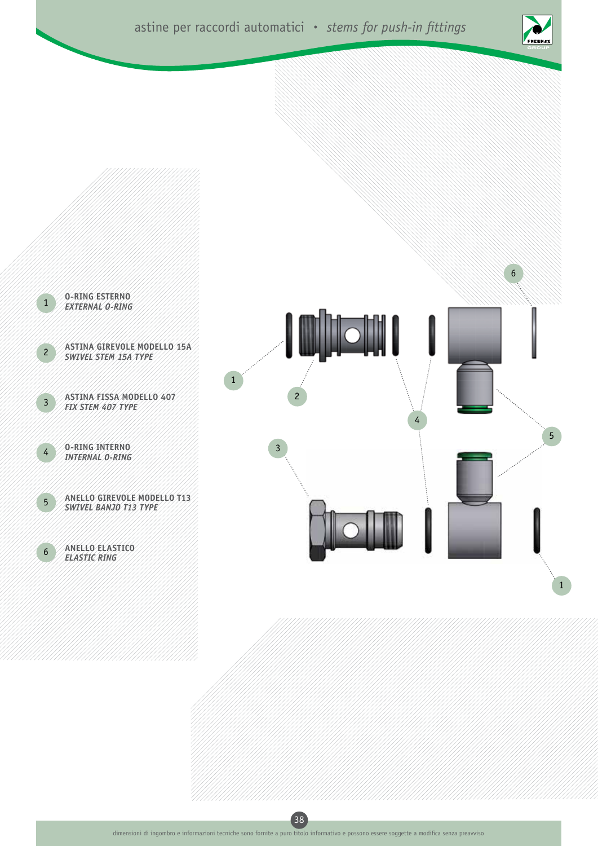





38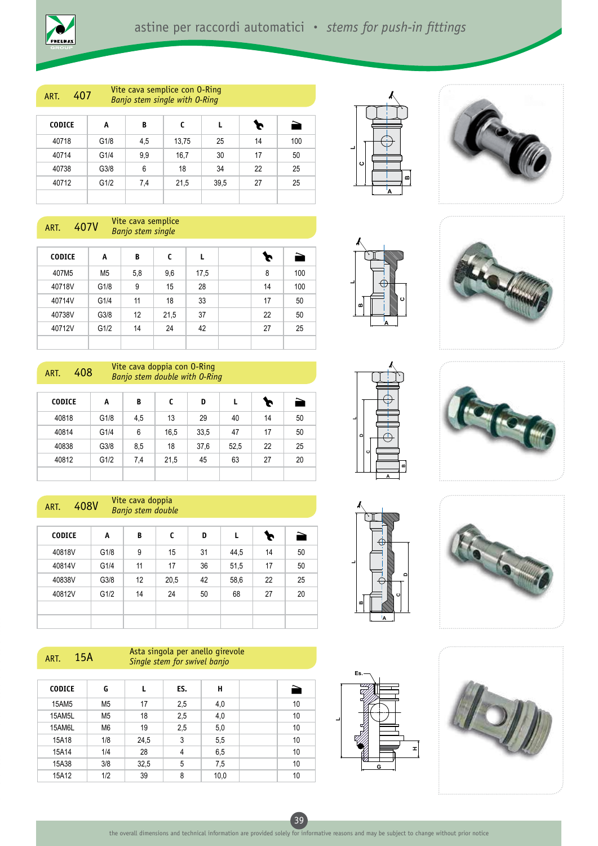ART. 407 Vite cava semplice con 0-Ring *Banjo stem single with O-Ring*

| <b>CODICE</b> | A    | B   | c     |      | Þ  | ð   |
|---------------|------|-----|-------|------|----|-----|
| 40718         | G1/8 | 4,5 | 13,75 | 25   | 14 | 100 |
| 40714         | G1/4 | 9,9 | 16,7  | 30   | 17 | 50  |
| 40738         | G3/8 | 6   | 18    | 34   | 22 | 25  |
| 40712         | G1/2 | 7,4 | 21,5  | 39,5 | 27 | 25  |
|               |      |     |       |      |    |     |

ART. 407V Vite cava semplice *Banjo stem single*

| <b>CODICE</b> | A              | B   | C    | L    | r  | È   |
|---------------|----------------|-----|------|------|----|-----|
| 407M5         | M <sub>5</sub> | 5,8 | 9,6  | 17,5 | 8  | 100 |
| 40718V        | G1/8           | 9   | 15   | 28   | 14 | 100 |
| 40714V        | G1/4           | 11  | 18   | 33   | 17 | 50  |
| 40738V        | G3/8           | 12  | 21,5 | 37   | 22 | 50  |
| 40712V        | G1/2           | 14  | 24   | 42   | 27 | 25  |
|               |                |     |      |      |    |     |



#### ART. 408V Vite cava doppia *Banjo stem double*

| <b>CODICE</b> | A    | B  | C    | D  | L    | Þ  | È  |
|---------------|------|----|------|----|------|----|----|
| 40818V        | G1/8 | 9  | 15   | 31 | 44,5 | 14 | 50 |
| 40814V        | G1/4 | 11 | 17   | 36 | 51,5 | 17 | 50 |
| 40838V        | G3/8 | 12 | 20,5 | 42 | 58,6 | 22 | 25 |
| 40812V        | G1/2 | 14 | 24   | 50 | 68   | 27 | 20 |
|               |      |    |      |    |      |    |    |
|               |      |    |      |    |      |    |    |

#### Arta singola per anello girevole<br>ART. 15A Cincle stem for surival banja *Single stem for swivel banjo*

| <b>CODICE</b> | G              |      | ES. | н    | È  |
|---------------|----------------|------|-----|------|----|
| 15AM5         | M <sub>5</sub> | 17   | 2,5 | 4,0  | 10 |
| 15AM5L        | M <sub>5</sub> | 18   | 2,5 | 4,0  | 10 |
| 15AM6L        | M <sub>6</sub> | 19   | 2,5 | 5,0  | 10 |
| 15A18         | 1/8            | 24,5 | 3   | 5,5  | 10 |
| 15A14         | 1/4            | 28   | 4   | 6,5  | 10 |
| 15A38         | 3/8            | 32,5 | 5   | 7,5  | 10 |
| 15A12         | 1/2            | 39   | 8   | 10,0 | 10 |





















39